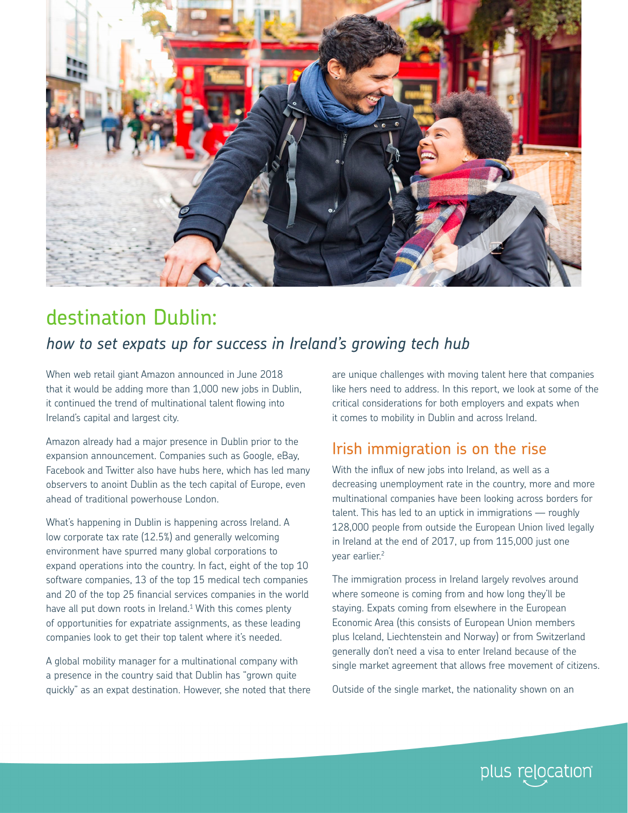

# destination Dublin:

### *how to set expats up for success in Ireland's growing tech hub*

When web retail giant Amazon announced in June 2018 that it would be adding more than 1,000 new jobs in Dublin, it continued the trend of multinational talent flowing into Ireland's capital and largest city.

Amazon already had a major presence in Dublin prior to the expansion announcement. Companies such as Google, eBay, Facebook and Twitter also have hubs here, which has led many observers to anoint Dublin as the tech capital of Europe, even ahead of traditional powerhouse London.

What's happening in Dublin is happening across Ireland. A low corporate tax rate (12.5%) and generally welcoming environment have spurred many global corporations to expand operations into the country. In fact, eight of the top 10 software companies, 13 of the top 15 medical tech companies and 20 of the top 25 financial services companies in the world have all put down roots in Ireland. $1$  With this comes plenty of opportunities for expatriate assignments, as these leading companies look to get their top talent where it's needed.

A global mobility manager for a multinational company with a presence in the country said that Dublin has "grown quite quickly" as an expat destination. However, she noted that there

are unique challenges with moving talent here that companies like hers need to address. In this report, we look at some of the critical considerations for both employers and expats when it comes to mobility in Dublin and across Ireland.

## Irish immigration is on the rise

With the influx of new jobs into Ireland, as well as a decreasing unemployment rate in the country, more and more multinational companies have been looking across borders for talent. This has led to an uptick in immigrations — roughly 128,000 people from outside the European Union lived legally in Ireland at the end of 2017, up from 115,000 just one year earlier.<sup>2</sup>

The immigration process in Ireland largely revolves around where someone is coming from and how long they'll be staying. Expats coming from elsewhere in the European Economic Area (this consists of European Union members plus Iceland, Liechtenstein and Norway) or from Switzerland generally don't need a visa to enter Ireland because of the single market agreement that allows free movement of citizens.

Outside of the single market, the nationality shown on an

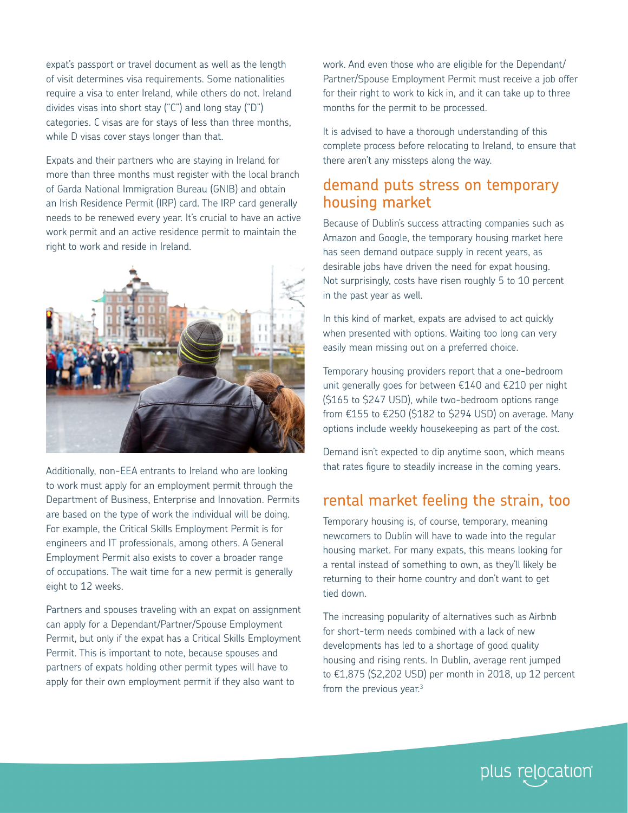expat's passport or travel document as well as the length of visit determines visa requirements. Some nationalities require a visa to enter Ireland, while others do not. Ireland divides visas into short stay ("C") and long stay ("D") categories. C visas are for stays of less than three months, while D visas cover stays longer than that.

Expats and their partners who are staying in Ireland for more than three months must register with the local branch of Garda National Immigration Bureau (GNIB) and obtain an Irish Residence Permit (IRP) card. The IRP card generally needs to be renewed every year. It's crucial to have an active work permit and an active residence permit to maintain the right to work and reside in Ireland.



Additionally, non-EEA entrants to Ireland who are looking to work must apply for an employment permit through the Department of Business, Enterprise and Innovation. Permits are based on the type of work the individual will be doing. For example, the Critical Skills Employment Permit is for engineers and IT professionals, among others. A General Employment Permit also exists to cover a broader range of occupations. The wait time for a new permit is generally eight to 12 weeks.

Partners and spouses traveling with an expat on assignment can apply for a Dependant/Partner/Spouse Employment Permit, but only if the expat has a Critical Skills Employment Permit. This is important to note, because spouses and partners of expats holding other permit types will have to apply for their own employment permit if they also want to

work. And even those who are eligible for the Dependant/ Partner/Spouse Employment Permit must receive a job offer for their right to work to kick in, and it can take up to three months for the permit to be processed.

It is advised to have a thorough understanding of this complete process before relocating to Ireland, to ensure that there aren't any missteps along the way.

#### demand puts stress on temporary housing market

Because of Dublin's success attracting companies such as Amazon and Google, the temporary housing market here has seen demand outpace supply in recent years, as desirable jobs have driven the need for expat housing. Not surprisingly, costs have risen roughly 5 to 10 percent in the past year as well.

In this kind of market, expats are advised to act quickly when presented with options. Waiting too long can very easily mean missing out on a preferred choice.

Temporary housing providers report that a one-bedroom unit generally goes for between €140 and €210 per night (\$165 to \$247 USD), while two-bedroom options range from  $£155$  to  $£250$  (\$182 to \$294 USD) on average. Many options include weekly housekeeping as part of the cost.

Demand isn't expected to dip anytime soon, which means that rates figure to steadily increase in the coming years.

#### rental market feeling the strain, too

Temporary housing is, of course, temporary, meaning newcomers to Dublin will have to wade into the regular housing market. For many expats, this means looking for a rental instead of something to own, as they'll likely be returning to their home country and don't want to get tied down.

The increasing popularity of alternatives such as Airbnb for short-term needs combined with a lack of new developments has led to a shortage of good quality housing and rising rents. In Dublin, average rent jumped to €1,875 (\$2,202 USD) per month in 2018, up 12 percent from the previous year. $3$ 

plus relocation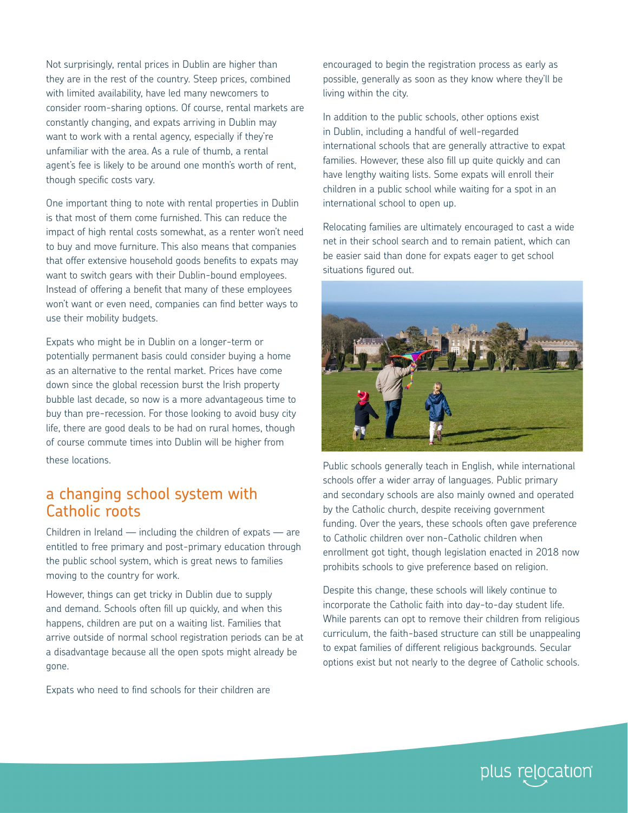Not surprisingly, rental prices in Dublin are higher than they are in the rest of the country. Steep prices, combined with limited availability, have led many newcomers to consider room-sharing options. Of course, rental markets are constantly changing, and expats arriving in Dublin may want to work with a rental agency, especially if they're unfamiliar with the area. As a rule of thumb, a rental agent's fee is likely to be around one month's worth of rent, though specific costs vary.

One important thing to note with rental properties in Dublin is that most of them come furnished. This can reduce the impact of high rental costs somewhat, as a renter won't need to buy and move furniture. This also means that companies that offer extensive household goods benefits to expats may want to switch gears with their Dublin-bound employees. Instead of offering a benefit that many of these employees won't want or even need, companies can find better ways to use their mobility budgets.

Expats who might be in Dublin on a longer-term or potentially permanent basis could consider buying a home as an alternative to the rental market. Prices have come down since the global recession burst the Irish property bubble last decade, so now is a more advantageous time to buy than pre-recession. For those looking to avoid busy city life, there are good deals to be had on rural homes, though of course commute times into Dublin will be higher from these locations.

#### a changing school system with Catholic roots

Children in Ireland — including the children of expats — are entitled to free primary and post-primary education through the public school system, which is great news to families moving to the country for work.

However, things can get tricky in Dublin due to supply and demand. Schools often fill up quickly, and when this happens, children are put on a waiting list. Families that arrive outside of normal school registration periods can be at a disadvantage because all the open spots might already be gone.

Expats who need to find schools for their children are

encouraged to begin the registration process as early as possible, generally as soon as they know where they'll be living within the city.

In addition to the public schools, other options exist in Dublin, including a handful of well-regarded international schools that are generally attractive to expat families. However, these also fill up quite quickly and can have lengthy waiting lists. Some expats will enroll their children in a public school while waiting for a spot in an international school to open up.

Relocating families are ultimately encouraged to cast a wide net in their school search and to remain patient, which can be easier said than done for expats eager to get school situations figured out.



Public schools generally teach in English, while international schools offer a wider array of languages. Public primary and secondary schools are also mainly owned and operated by the Catholic church, despite receiving government funding. Over the years, these schools often gave preference to Catholic children over non-Catholic children when enrollment got tight, though legislation enacted in 2018 now prohibits schools to give preference based on religion.

Despite this change, these schools will likely continue to incorporate the Catholic faith into day-to-day student life. While parents can opt to remove their children from religious curriculum, the faith-based structure can still be unappealing to expat families of different religious backgrounds. Secular options exist but not nearly to the degree of Catholic schools.